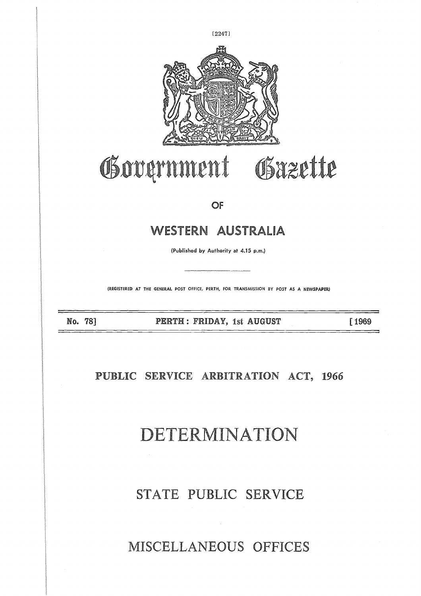

# Government Gazette

OF

# WESTERN AUSTRALIA  $\begin{array}{c} \hline \end{array}$

(Published by Authority at 4.15 p.m.)

(REGISTERED AT THE GENERAL POST OFFICE, PERTH, FOR TRANSMISSION BY POST AS A NEWSPAPER)

NO. 78]  $\frac{1}{\sqrt{2}}$ 

PERTH : FRIDAY, 1st AUGUST

[ 1969

**PUBLIC SERVICE ARBITRATION ACT, 1966**

DETERMINATION

STATE PUBLIC SERVICE

MISCELLANEOUS OFFICES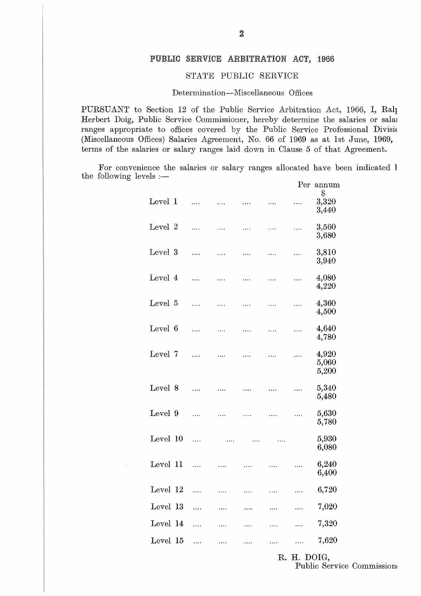# PUBLIC **SERVICE ARBITRATION** ACT, 1966

## STATE PUBLIC SERVICE

### Determination—Miscellaneous Offices

PURSUANT to Section 12 of the Public Service Arbitration Act, 1966, I, Ralp Herbert Doig, Public Service Commissioner, hereby determine the salaries or salar ranges appropriate to offices covered by the Public Service Professional Divisic (Miscellaneous Offices) Salaries Agreement, No. 66 of 1969 as at 1st June, 1969, terms of the salaries or salary ranges laid down in Clause 5 of that Agreement.

For convenience the salaries or salary ranges allocated have been indicated l the following levels :—

|                 |                              |   |  | Determination—Miscellaneous Offices |   |          |                                                                                                                                                                                                                                                                          |  |  |  |
|-----------------|------------------------------|---|--|-------------------------------------|---|----------|--------------------------------------------------------------------------------------------------------------------------------------------------------------------------------------------------------------------------------------------------------------------------|--|--|--|
|                 |                              |   |  |                                     |   |          | Section 12 of the Public Service Arbitration Act,<br>blic Service Commissioner, hereby determine the s<br>te to offices covered by the Public Service Profe<br>fices) Salaries Agreement, No. 66 of 1969 as at 1s<br>ries or salary ranges laid down in Clause 5 of that |  |  |  |
| $_{\rm els}$ :— |                              |   |  |                                     |   |          | nce the salaries or salary ranges allocated have be                                                                                                                                                                                                                      |  |  |  |
| Level 1         |                              |   |  |                                     |   |          | Per annum<br>\$<br>3,320<br>3,440                                                                                                                                                                                                                                        |  |  |  |
| Level 2         |                              | . |  |                                     | . | .        | 3,560<br>3,680                                                                                                                                                                                                                                                           |  |  |  |
| Level 3         |                              |   |  |                                     | . | $\ldots$ | 3,810<br>3,940                                                                                                                                                                                                                                                           |  |  |  |
| Level 4         |                              |   |  |                                     |   | .        | 4,080<br>4,220                                                                                                                                                                                                                                                           |  |  |  |
| Level 5         |                              | . |  |                                     |   | .        | 4,360<br>4,500                                                                                                                                                                                                                                                           |  |  |  |
| Level 6         |                              | . |  |                                     |   | .        | 4,640<br>4,780                                                                                                                                                                                                                                                           |  |  |  |
| Level 7         |                              |   |  |                                     |   | .        | 4,920<br>5,060<br>5,200                                                                                                                                                                                                                                                  |  |  |  |
| Level 8         |                              |   |  |                                     |   | .        | 5,340<br>5,480                                                                                                                                                                                                                                                           |  |  |  |
|                 |                              |   |  | Level 9                             |   |          | 5,630<br>5,780                                                                                                                                                                                                                                                           |  |  |  |
|                 |                              |   |  | Level 10                            |   |          | 5,930<br>6,080                                                                                                                                                                                                                                                           |  |  |  |
|                 |                              |   |  | Level 11                            |   |          | 6,240<br>6,400                                                                                                                                                                                                                                                           |  |  |  |
|                 |                              |   |  | Level 12                            |   |          | 6,720                                                                                                                                                                                                                                                                    |  |  |  |
|                 |                              |   |  | Level 13                            |   |          | 7,020                                                                                                                                                                                                                                                                    |  |  |  |
|                 |                              |   |  | Level 14                            |   |          | 7,320                                                                                                                                                                                                                                                                    |  |  |  |
|                 |                              |   |  | Level 15                            |   |          | 7,620                                                                                                                                                                                                                                                                    |  |  |  |
|                 | R. H. DOIG,<br>Public Servie |   |  |                                     |   |          |                                                                                                                                                                                                                                                                          |  |  |  |

R. H. DOIG, Public Service Commission